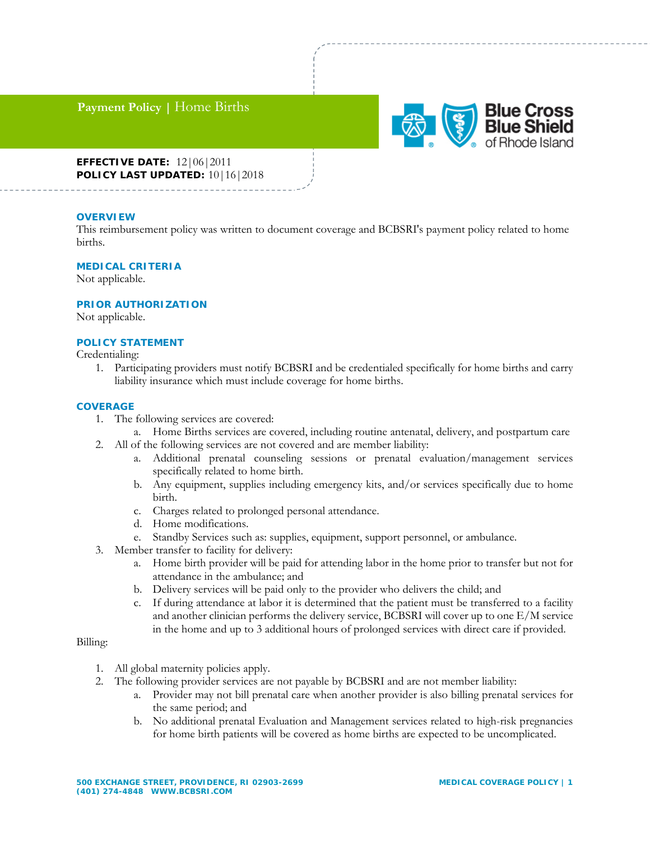# **Payment Policy |** Home Births



## **EFFECTIVE DATE:** 12|06|2011 **POLICY LAST UPDATED:** 10|16|2018

## **OVERVIEW**

This reimbursement policy was written to document coverage and BCBSRI's payment policy related to home births.

#### **MEDICAL CRITERIA**

Not applicable.

#### **PRIOR AUTHORIZATION**

Not applicable.

#### **POLICY STATEMENT**

Credentialing:

1. Participating providers must notify BCBSRI and be credentialed specifically for home births and carry liability insurance which must include coverage for home births.

#### **COVERAGE**

- 1. The following services are covered:
	- a. Home Births services are covered, including routine antenatal, delivery, and postpartum care
- 2. All of the following services are not covered and are member liability:
	- a. Additional prenatal counseling sessions or prenatal evaluation/management services specifically related to home birth.
	- b. Any equipment, supplies including emergency kits, and/or services specifically due to home birth.
	- c. Charges related to prolonged personal attendance.
	- d. Home modifications.
	- e. Standby Services such as: supplies, equipment, support personnel, or ambulance.
- 3. Member transfer to facility for delivery:
	- a. Home birth provider will be paid for attending labor in the home prior to transfer but not for attendance in the ambulance; and
	- b. Delivery services will be paid only to the provider who delivers the child; and
	- c. If during attendance at labor it is determined that the patient must be transferred to a facility and another clinician performs the delivery service, BCBSRI will cover up to one E/M service in the home and up to 3 additional hours of prolonged services with direct care if provided.

## Billing:

- 1. All global maternity policies apply.
- 2. The following provider services are not payable by BCBSRI and are not member liability:
	- a. Provider may not bill prenatal care when another provider is also billing prenatal services for the same period; and
	- b. No additional prenatal Evaluation and Management services related to high-risk pregnancies for home birth patients will be covered as home births are expected to be uncomplicated.